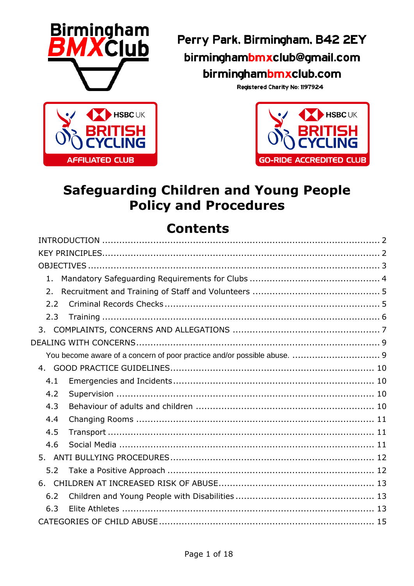

Perry Park, Birmingham, B42 2EY birminghambmxclub@gmail.com birminghambmxclub.com

Registered Charity No: 1197924



# **Safeguarding Children and Young People Policy and Procedures**

# **Contents**

| 1.  |  |  |  |
|-----|--|--|--|
| 2.  |  |  |  |
| 2.2 |  |  |  |
| 2.3 |  |  |  |
|     |  |  |  |
|     |  |  |  |
|     |  |  |  |
|     |  |  |  |
| 4.1 |  |  |  |
| 4.2 |  |  |  |
| 4.3 |  |  |  |
| 4.4 |  |  |  |
| 4.5 |  |  |  |
| 4.6 |  |  |  |
|     |  |  |  |
| 5.2 |  |  |  |
|     |  |  |  |
| 6.2 |  |  |  |
| 6.3 |  |  |  |
|     |  |  |  |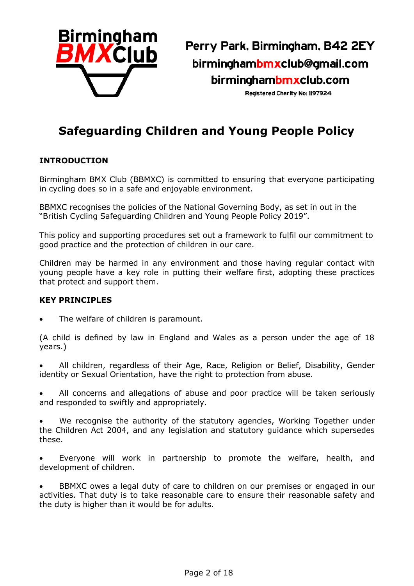

Perry Park, Birmingham, B42 2EY birminghambmxclub@gmail.com birminghambmxclub.com

Registered Charity No: 1197924

# **Safeguarding Children and Young People Policy**

#### <span id="page-1-0"></span>**INTRODUCTION**

Birmingham BMX Club (BBMXC) is committed to ensuring that everyone participating in cycling does so in a safe and enjoyable environment.

BBMXC recognises the policies of the National Governing Body, as set in out in the "British Cycling Safeguarding Children and Young People Policy 2019".

This policy and supporting procedures set out a framework to fulfil our commitment to good practice and the protection of children in our care.

Children may be harmed in any environment and those having regular contact with young people have a key role in putting their welfare first, adopting these practices that protect and support them.

#### <span id="page-1-1"></span>**KEY PRINCIPLES**

The welfare of children is paramount.

(A child is defined by law in England and Wales as a person under the age of 18 years.)

• All children, regardless of their Age, Race, Religion or Belief, Disability, Gender identity or Sexual Orientation, have the right to protection from abuse.

All concerns and allegations of abuse and poor practice will be taken seriously and responded to swiftly and appropriately.

We recognise the authority of the statutory agencies, Working Together under the Children Act 2004, and any legislation and statutory guidance which supersedes these.

• Everyone will work in partnership to promote the welfare, health, and development of children.

• BBMXC owes a legal duty of care to children on our premises or engaged in our activities. That duty is to take reasonable care to ensure their reasonable safety and the duty is higher than it would be for adults.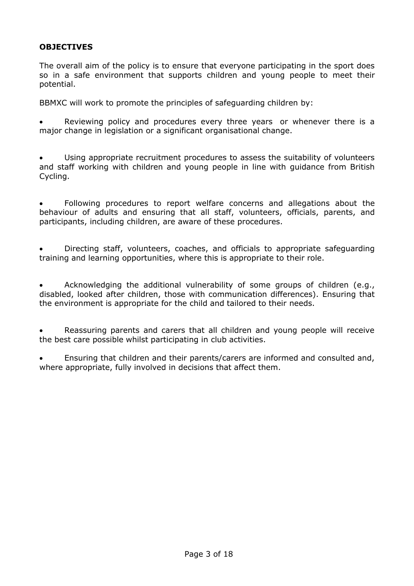# <span id="page-2-0"></span>**OBJECTIVES**

The overall aim of the policy is to ensure that everyone participating in the sport does so in a safe environment that supports children and young people to meet their potential.

BBMXC will work to promote the principles of safeguarding children by:

Reviewing policy and procedures every three years or whenever there is a major change in legislation or a significant organisational change.

• Using appropriate recruitment procedures to assess the suitability of volunteers and staff working with children and young people in line with guidance from British Cycling.

• Following procedures to report welfare concerns and allegations about the behaviour of adults and ensuring that all staff, volunteers, officials, parents, and participants, including children, are aware of these procedures.

• Directing staff, volunteers, coaches, and officials to appropriate safeguarding training and learning opportunities, where this is appropriate to their role.

• Acknowledging the additional vulnerability of some groups of children (e.g., disabled, looked after children, those with communication differences). Ensuring that the environment is appropriate for the child and tailored to their needs.

• Reassuring parents and carers that all children and young people will receive the best care possible whilst participating in club activities.

• Ensuring that children and their parents/carers are informed and consulted and, where appropriate, fully involved in decisions that affect them.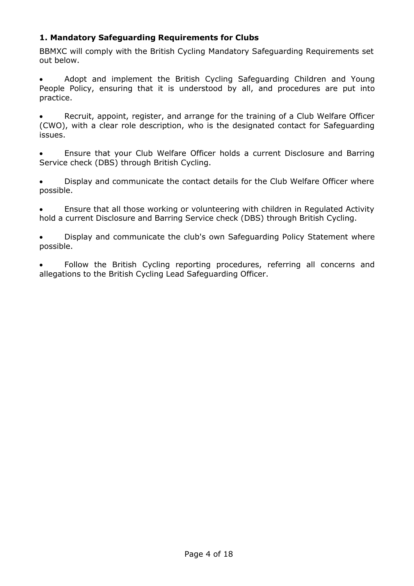# <span id="page-3-0"></span>**1. Mandatory Safeguarding Requirements for Clubs**

BBMXC will comply with the British Cycling Mandatory Safeguarding Requirements set out below.

• Adopt and implement the British Cycling Safeguarding Children and Young People Policy, ensuring that it is understood by all, and procedures are put into practice.

Recruit, appoint, register, and arrange for the training of a Club Welfare Officer (CWO), with a clear role description, who is the designated contact for Safeguarding issues.

• Ensure that your Club Welfare Officer holds a current Disclosure and Barring Service check (DBS) through British Cycling.

• Display and communicate the contact details for the Club Welfare Officer where possible.

• Ensure that all those working or volunteering with children in Regulated Activity hold a current Disclosure and Barring Service check (DBS) through British Cycling.

• Display and communicate the club's own Safeguarding Policy Statement where possible.

Follow the British Cycling reporting procedures, referring all concerns and allegations to the British Cycling Lead Safeguarding Officer.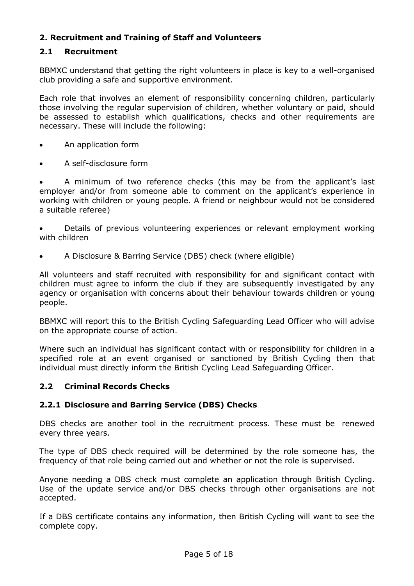# <span id="page-4-0"></span>**2. Recruitment and Training of Staff and Volunteers**

# **2.1 Recruitment**

BBMXC understand that getting the right volunteers in place is key to a well-organised club providing a safe and supportive environment.

Each role that involves an element of responsibility concerning children, particularly those involving the regular supervision of children, whether voluntary or paid, should be assessed to establish which qualifications, checks and other requirements are necessary. These will include the following:

- An application form
- A self-disclosure form

• A minimum of two reference checks (this may be from the applicant's last employer and/or from someone able to comment on the applicant's experience in working with children or young people. A friend or neighbour would not be considered a suitable referee)

• Details of previous volunteering experiences or relevant employment working with children

• A Disclosure & Barring Service (DBS) check (where eligible)

All volunteers and staff recruited with responsibility for and significant contact with children must agree to inform the club if they are subsequently investigated by any agency or organisation with concerns about their behaviour towards children or young people.

BBMXC will report this to the British Cycling Safeguarding Lead Officer who will advise on the appropriate course of action.

Where such an individual has significant contact with or responsibility for children in a specified role at an event organised or sanctioned by British Cycling then that individual must directly inform the British Cycling Lead Safeguarding Officer.

#### <span id="page-4-1"></span>**2.2 Criminal Records Checks**

# **2.2.1 Disclosure and Barring Service (DBS) Checks**

DBS checks are another tool in the recruitment process. These must be renewed every three years.

The type of DBS check required will be determined by the role someone has, the frequency of that role being carried out and whether or not the role is supervised.

Anyone needing a DBS check must complete an application through British Cycling. Use of the update service and/or DBS checks through other organisations are not accepted.

If a DBS certificate contains any information, then British Cycling will want to see the complete copy.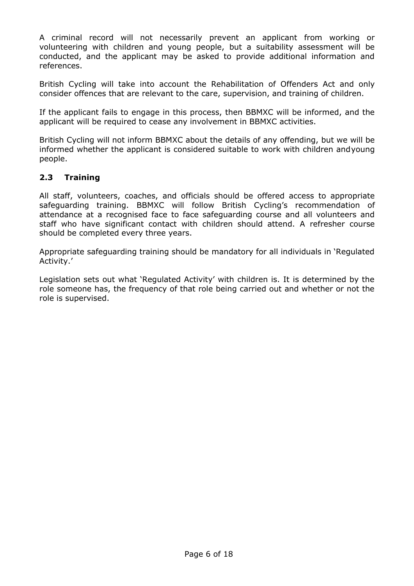A criminal record will not necessarily prevent an applicant from working or volunteering with children and young people, but a suitability assessment will be conducted, and the applicant may be asked to provide additional information and references.

British Cycling will take into account the Rehabilitation of Offenders Act and only consider offences that are relevant to the care, supervision, and training of children.

If the applicant fails to engage in this process, then BBMXC will be informed, and the applicant will be required to cease any involvement in BBMXC activities.

British Cycling will not inform BBMXC about the details of any offending, but we will be informed whether the applicant is considered suitable to work with children andyoung people.

# <span id="page-5-0"></span>**2.3 Training**

All staff, volunteers, coaches, and officials should be offered access to appropriate safeguarding training. BBMXC will follow British Cycling's recommendation of attendance at a recognised face to face safeguarding course and all volunteers and staff who have significant contact with children should attend. A refresher course should be completed every three years.

Appropriate safeguarding training should be mandatory for all individuals in 'Regulated Activity.'

Legislation sets out what 'Regulated Activity' with children is. It is determined by the role someone has, the frequency of that role being carried out and whether or not the role is supervised.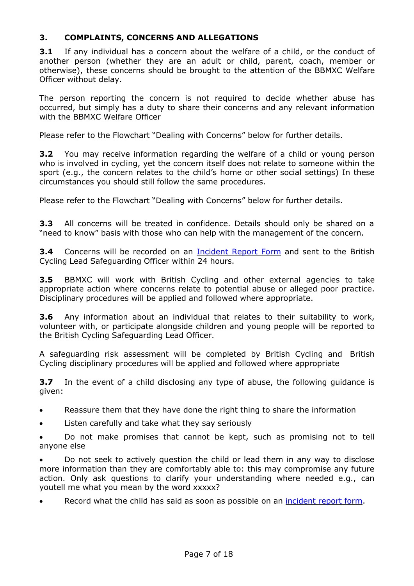#### <span id="page-6-0"></span>**3. COMPLAINTS, CONCERNS AND ALLEGATIONS**

**3.1** If any individual has a concern about the welfare of a child, or the conduct of another person (whether they are an adult or child, parent, coach, member or otherwise), these concerns should be brought to the attention of the BBMXC Welfare Officer without delay.

The person reporting the concern is not required to decide whether abuse has occurred, but simply has a duty to share their concerns and any relevant information with the BBMXC Welfare Officer

Please refer to the Flowchart "Dealing with Concerns" below for further details.

**3.2** You may receive information regarding the welfare of a child or young person who is involved in cycling, yet the concern itself does not relate to someone within the sport (e.g., the concern relates to the child's home or other social settings) In these circumstances you should still follow the same procedures.

Please refer to the Flowchart "Dealing with Concerns" below for further details.

**3.3** All concerns will be treated in confidence. Details should only be shared on a "need to know" basis with those who can help with the management of the concern.

**3.4** Concerns will be recorded on an [Incident Report Form](https://birminghambmxclub.com/membership/Incident_Report_Form.doc) and sent to the British Cycling Lead Safeguarding Officer within 24 hours.

**3.5** BBMXC will work with British Cycling and other external agencies to take appropriate action where concerns relate to potential abuse or alleged poor practice. Disciplinary procedures will be applied and followed where appropriate.

**3.6** Any information about an individual that relates to their suitability to work, volunteer with, or participate alongside children and young people will be reported to the British Cycling Safeguarding Lead Officer.

A safeguarding risk assessment will be completed by British Cycling and British Cycling disciplinary procedures will be applied and followed where appropriate

**3.7** In the event of a child disclosing any type of abuse, the following guidance is given:

- Reassure them that they have done the right thing to share the information
- Listen carefully and take what they say seriously

• Do not make promises that cannot be kept, such as promising not to tell anyone else

• Do not seek to actively question the child or lead them in any way to disclose more information than they are comfortably able to: this may compromise any future action. Only ask questions to clarify your understanding where needed e.g., can youtell me what you mean by the word xxxxx?

Record what the child has said as soon as possible on an [incident](https://birminghambmxclub.com/membership/Incident_Report_Form.doc) report form.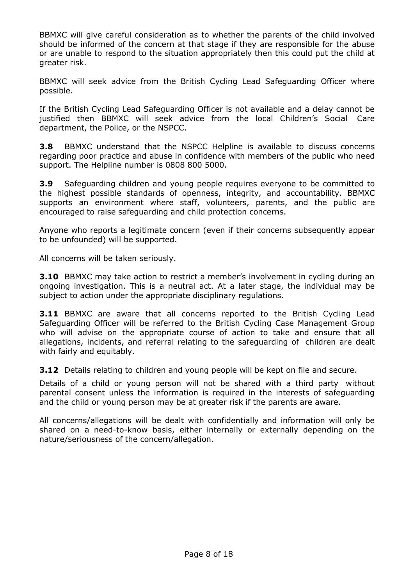BBMXC will give careful consideration as to whether the parents of the child involved should be informed of the concern at that stage if they are responsible for the abuse or are unable to respond to the situation appropriately then this could put the child at greater risk.

BBMXC will seek advice from the British Cycling Lead Safeguarding Officer where possible.

If the British Cycling Lead Safeguarding Officer is not available and a delay cannot be justified then BBMXC will seek advice from the local Children's Social Care department, the Police, or the NSPCC.

**3.8** BBMXC understand that the NSPCC Helpline is available to discuss concerns regarding poor practice and abuse in confidence with members of the public who need support. The Helpline number is 0808 800 5000.

**3.9** Safeguarding children and young people requires everyone to be committed to the highest possible standards of openness, integrity, and accountability. BBMXC supports an environment where staff, volunteers, parents, and the public are encouraged to raise safeguarding and child protection concerns.

Anyone who reports a legitimate concern (even if their concerns subsequently appear to be unfounded) will be supported.

All concerns will be taken seriously.

**3.10** BBMXC may take action to restrict a member's involvement in cycling during an ongoing investigation. This is a neutral act. At a later stage, the individual may be subject to action under the appropriate disciplinary regulations.

**3.11** BBMXC are aware that all concerns reported to the British Cycling Lead Safeguarding Officer will be referred to the British Cycling Case Management Group who will advise on the appropriate course of action to take and ensure that all allegations, incidents, and referral relating to the safeguarding of children are dealt with fairly and equitably.

**3.12** Details relating to children and young people will be kept on file and secure.

Details of a child or young person will not be shared with a third party without parental consent unless the information is required in the interests of safeguarding and the child or young person may be at greater risk if the parents are aware.

All concerns/allegations will be dealt with confidentially and information will only be shared on a need-to-know basis, either internally or externally depending on the nature/seriousness of the concern/allegation.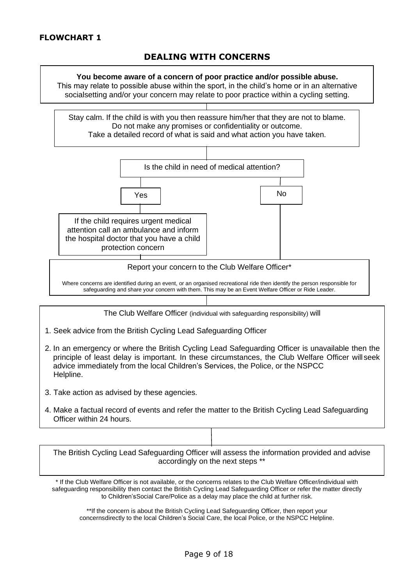# **DEALING WITH CONCERNS**

# <span id="page-8-1"></span><span id="page-8-0"></span>**You become aware of a concern of poor practice and/or possible abuse.** This may relate to possible abuse within the sport, in the child's home or in an alternative socialsetting and/or your concern may relate to poor practice within a cycling setting. Stay calm. If the child is with you then reassure him/her that they are not to blame. Do not make any promises or confidentiality or outcome. Take a detailed record of what is said and what action you have taken. Is the child in need of medical attention? Yes | No If the child requires urgent medical attention call an ambulance and inform the hospital doctor that you have a child protection concern Report your concern to the Club Welfare Officer\* Where concerns are identified during an event, or an organised recreational ride then identify the person responsible for safeguarding and share your concern with them. This may be an Event Welfare Officer or Ride Leader. The Club Welfare Officer (individual with safeguarding responsibility) will 1. Seek advice from the British Cycling Lead Safeguarding Officer 2. In an emergency or where the British Cycling Lead Safeguarding Officer is unavailable then the principle of least delay is important. In these circumstances, the Club Welfare Officer will seek advice immediately from the local Children's Services, the Police, or the NSPCC Helpline. 3. Take action as advised by these agencies. 4. Make a factual record of events and refer the matter to the British Cycling Lead Safeguarding Officer within 24 hours. The British Cycling Lead Safeguarding Officer will assess the information provided and advise accordingly on the next steps \*\* \* If the Club Welfare Officer is not available, or the concerns relates to the Club Welfare Officer/individual with safeguarding responsibility then contact the British Cycling Lead Safeguarding Officer or refer the matter directly to Children'sSocial Care/Police as a delay may place the child at further risk.

\*\*If the concern is about the British Cycling Lead Safeguarding Officer, then report your concernsdirectly to the local Children's Social Care, the local Police, or the NSPCC Helpline.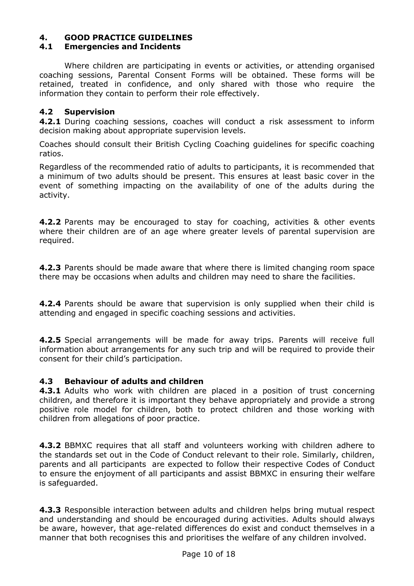# <span id="page-9-0"></span>**4. GOOD PRACTICE GUIDELINES**

#### <span id="page-9-1"></span>**4.1 Emergencies and Incidents**

Where children are participating in events or activities, or attending organised coaching sessions, Parental Consent Forms will be obtained. These forms will be retained, treated in confidence, and only shared with those who require the information they contain to perform their role effectively.

#### <span id="page-9-2"></span>**4.2 Supervision**

**4.2.1** During coaching sessions, coaches will conduct a risk assessment to inform decision making about appropriate supervision levels.

Coaches should consult their British Cycling Coaching guidelines for specific coaching ratios.

Regardless of the recommended ratio of adults to participants, it is recommended that a minimum of two adults should be present. This ensures at least basic cover in the event of something impacting on the availability of one of the adults during the activity.

**4.2.2** Parents may be encouraged to stay for coaching, activities & other events where their children are of an age where greater levels of parental supervision are required.

**4.2.3** Parents should be made aware that where there is limited changing room space there may be occasions when adults and children may need to share the facilities.

**4.2.4** Parents should be aware that supervision is only supplied when their child is attending and engaged in specific coaching sessions and activities.

**4.2.5** Special arrangements will be made for away trips. Parents will receive full information about arrangements for any such trip and will be required to provide their consent for their child's participation.

#### <span id="page-9-3"></span>**4.3 Behaviour of adults and children**

**4.3.1** Adults who work with children are placed in a position of trust concerning children, and therefore it is important they behave appropriately and provide a strong positive role model for children, both to protect children and those working with children from allegations of poor practice.

**4.3.2** BBMXC requires that all staff and volunteers working with children adhere to the standards set out in the Code of Conduct relevant to their role. Similarly, children, parents and all participants are expected to follow their respective Codes of Conduct to ensure the enjoyment of all participants and assist BBMXC in ensuring their welfare is safeguarded.

**4.3.3** Responsible interaction between adults and children helps bring mutual respect and understanding and should be encouraged during activities. Adults should always be aware, however, that age-related differences do exist and conduct themselves in a manner that both recognises this and prioritises the welfare of any children involved.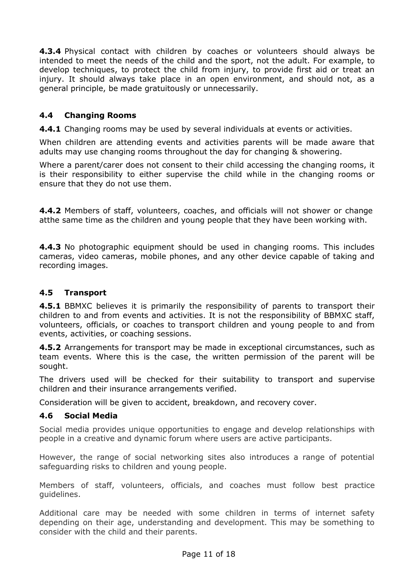**4.3.4** Physical contact with children by coaches or volunteers should always be intended to meet the needs of the child and the sport, not the adult. For example, to develop techniques, to protect the child from injury, to provide first aid or treat an injury. It should always take place in an open environment, and should not, as a general principle, be made gratuitously or unnecessarily.

### <span id="page-10-0"></span>**4.4 Changing Rooms**

**4.4.1** Changing rooms may be used by several individuals at events or activities.

When children are attending events and activities parents will be made aware that adults may use changing rooms throughout the day for changing & showering.

Where a parent/carer does not consent to their child accessing the changing rooms, it is their responsibility to either supervise the child while in the changing rooms or ensure that they do not use them.

**4.4.2** Members of staff, volunteers, coaches, and officials will not shower or change atthe same time as the children and young people that they have been working with.

**4.4.3** No photographic equipment should be used in changing rooms. This includes cameras, video cameras, mobile phones, and any other device capable of taking and recording images.

#### <span id="page-10-1"></span>**4.5 Transport**

**4.5.1** BBMXC believes it is primarily the responsibility of parents to transport their children to and from events and activities. It is not the responsibility of BBMXC staff, volunteers, officials, or coaches to transport children and young people to and from events, activities, or coaching sessions.

**4.5.2** Arrangements for transport may be made in exceptional circumstances, such as team events. Where this is the case, the written permission of the parent will be sought.

The drivers used will be checked for their suitability to transport and supervise children and their insurance arrangements verified.

Consideration will be given to accident, breakdown, and recovery cover.

#### <span id="page-10-2"></span>**4.6 Social Media**

Social media provides unique opportunities to engage and develop relationships with people in a creative and dynamic forum where users are active participants.

However, the range of social networking sites also introduces a range of potential safeguarding risks to children and young people.

Members of staff, volunteers, officials, and coaches must follow best practice guidelines.

Additional care may be needed with some children in terms of internet safety depending on their age, understanding and development. This may be something to consider with the child and their parents.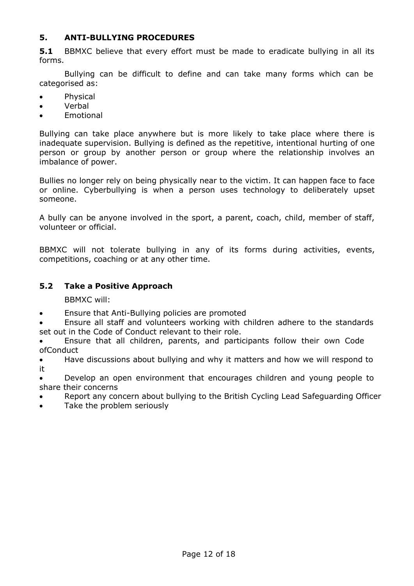#### <span id="page-11-0"></span>**5. ANTI-BULLYING PROCEDURES**

**5.1** BBMXC believe that every effort must be made to eradicate bullying in all its forms.

Bullying can be difficult to define and can take many forms which can be categorised as:

- Physical
- Verbal
- **Fmotional**

Bullying can take place anywhere but is more likely to take place where there is inadequate supervision. Bullying is defined as the repetitive, intentional hurting of one person or group by another person or group where the relationship involves an imbalance of power.

Bullies no longer rely on being physically near to the victim. It can happen face to face or online. Cyberbullying is when a person uses technology to deliberately upset someone.

A bully can be anyone involved in the sport, a parent, coach, child, member of staff, volunteer or official.

BBMXC will not tolerate bullying in any of its forms during activities, events, competitions, coaching or at any other time.

#### <span id="page-11-1"></span>**5.2 Take a Positive Approach**

BBMXC will:

• Ensure that Anti-Bullying policies are promoted

• Ensure all staff and volunteers working with children adhere to the standards set out in the Code of Conduct relevant to their role.

• Ensure that all children, parents, and participants follow their own Code ofConduct

• Have discussions about bullying and why it matters and how we will respond to it

• Develop an open environment that encourages children and young people to share their concerns

• Report any concern about bullying to the British Cycling Lead Safeguarding Officer

Take the problem seriously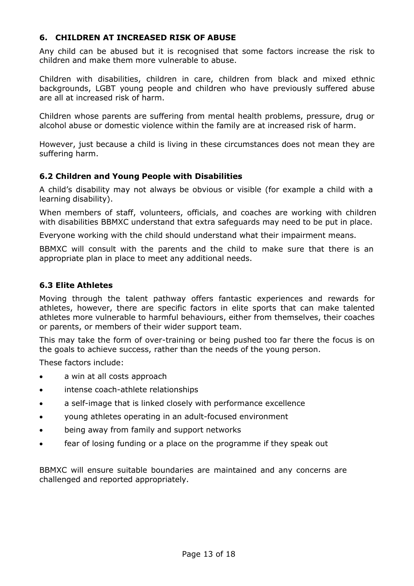#### <span id="page-12-0"></span>**6. CHILDREN AT INCREASED RISK OF ABUSE**

Any child can be abused but it is recognised that some factors increase the risk to children and make them more vulnerable to abuse.

Children with disabilities, children in care, children from black and mixed ethnic backgrounds, LGBT young people and children who have previously suffered abuse are all at increased risk of harm.

Children whose parents are suffering from mental health problems, pressure, drug or alcohol abuse or domestic violence within the family are at increased risk of harm.

However, just because a child is living in these circumstances does not mean they are suffering harm.

#### <span id="page-12-1"></span>**6.2 Children and Young People with Disabilities**

A child's disability may not always be obvious or visible (for example a child with a learning disability).

When members of staff, volunteers, officials, and coaches are working with children with disabilities BBMXC understand that extra safeguards may need to be put in place.

Everyone working with the child should understand what their impairment means.

BBMXC will consult with the parents and the child to make sure that there is an appropriate plan in place to meet any additional needs.

#### <span id="page-12-2"></span>**6.3 Elite Athletes**

Moving through the talent pathway offers fantastic experiences and rewards for athletes, however, there are specific factors in elite sports that can make talented athletes more vulnerable to harmful behaviours, either from themselves, their coaches or parents, or members of their wider support team.

This may take the form of over-training or being pushed too far there the focus is on the goals to achieve success, rather than the needs of the young person.

These factors include:

- a win at all costs approach
- intense coach-athlete relationships
- a self-image that is linked closely with performance excellence
- young athletes operating in an adult-focused environment
- being away from family and support networks
- fear of losing funding or a place on the programme if they speak out

BBMXC will ensure suitable boundaries are maintained and any concerns are challenged and reported appropriately.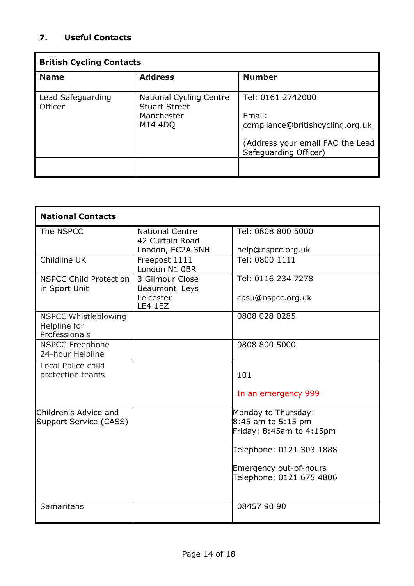# **7. Useful Contacts**

| <b>British Cycling Contacts</b> |                                                        |                                                           |  |  |  |
|---------------------------------|--------------------------------------------------------|-----------------------------------------------------------|--|--|--|
| <b>Name</b>                     | <b>Address</b>                                         | <b>Number</b>                                             |  |  |  |
| Lead Safeguarding<br>Officer    | <b>National Cycling Centre</b><br><b>Stuart Street</b> | Tel: 0161 2742000                                         |  |  |  |
|                                 | Manchester                                             | Email:                                                    |  |  |  |
|                                 | M14 4DQ                                                | compliance@britishcycling.org.uk                          |  |  |  |
|                                 |                                                        | (Address your email FAO the Lead<br>Safeguarding Officer) |  |  |  |
|                                 |                                                        |                                                           |  |  |  |

| <b>National Contacts</b>                                     |                                           |                                                    |  |  |  |
|--------------------------------------------------------------|-------------------------------------------|----------------------------------------------------|--|--|--|
| The NSPCC                                                    | <b>National Centre</b><br>42 Curtain Road | Tel: 0808 800 5000                                 |  |  |  |
|                                                              | London, EC2A 3NH                          | help@nspcc.org.uk                                  |  |  |  |
| Childline UK                                                 | Freepost 1111<br>London N1 0BR            | Tel: 0800 1111                                     |  |  |  |
| <b>NSPCC Child Protection</b><br>in Sport Unit               | 3 Gilmour Close<br>Beaumont Leys          | Tel: 0116 234 7278                                 |  |  |  |
|                                                              | Leicester<br><b>LE4 1EZ</b>               | cpsu@nspcc.org.uk                                  |  |  |  |
| <b>NSPCC Whistleblowing</b><br>Helpline for<br>Professionals |                                           | 0808 028 0285                                      |  |  |  |
| <b>NSPCC Freephone</b><br>24-hour Helpline                   |                                           | 0808 800 5000                                      |  |  |  |
| Local Police child<br>protection teams                       |                                           | 101                                                |  |  |  |
|                                                              |                                           | In an emergency 999                                |  |  |  |
| Children's Advice and                                        |                                           | Monday to Thursday:                                |  |  |  |
| Support Service (CASS)                                       |                                           | 8:45 am to 5:15 pm                                 |  |  |  |
|                                                              |                                           | Friday: 8:45am to 4:15pm                           |  |  |  |
|                                                              |                                           | Telephone: 0121 303 1888                           |  |  |  |
|                                                              |                                           | Emergency out-of-hours<br>Telephone: 0121 675 4806 |  |  |  |
| Samaritans                                                   |                                           | 08457 90 90                                        |  |  |  |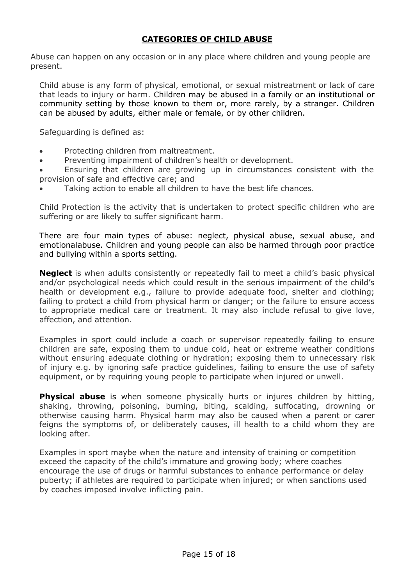# **CATEGORIES OF CHILD ABUSE**

<span id="page-14-0"></span>Abuse can happen on any occasion or in any place where children and young people are present.

Child abuse is any form of physical, emotional, or sexual mistreatment or lack of care that leads to injury or harm. Children may be abused in a family or an institutional or community setting by those known to them or, more rarely, by a stranger. Children can be abused by adults, either male or female, or by other children.

Safeguarding is defined as:

- Protecting children from maltreatment.
- Preventing impairment of children's health or development.
- Ensuring that children are growing up in circumstances consistent with the provision of safe and effective care; and
- Taking action to enable all children to have the best life chances.

Child Protection is the activity that is undertaken to protect specific children who are suffering or are likely to suffer significant harm.

There are four main types of abuse: neglect, physical abuse, sexual abuse, and emotionalabuse. Children and young people can also be harmed through poor practice and bullying within a sports setting.

**Neglect** is when adults consistently or repeatedly fail to meet a child's basic physical and/or psychological needs which could result in the serious impairment of the child's health or development e.g., failure to provide adequate food, shelter and clothing; failing to protect a child from physical harm or danger; or the failure to ensure access to appropriate medical care or treatment. It may also include refusal to give love, affection, and attention.

Examples in sport could include a coach or supervisor repeatedly failing to ensure children are safe, exposing them to undue cold, heat or extreme weather conditions without ensuring adequate clothing or hydration; exposing them to unnecessary risk of injury e.g. by ignoring safe practice guidelines, failing to ensure the use of safety equipment, or by requiring young people to participate when injured or unwell.

**Physical abuse** is when someone physically hurts or injures children by hitting, shaking, throwing, poisoning, burning, biting, scalding, suffocating, drowning or otherwise causing harm. Physical harm may also be caused when a parent or carer feigns the symptoms of, or deliberately causes, ill health to a child whom they are looking after.

Examples in sport maybe when the nature and intensity of training or competition exceed the capacity of the child's immature and growing body; where coaches encourage the use of drugs or harmful substances to enhance performance or delay puberty; if athletes are required to participate when injured; or when sanctions used by coaches imposed involve inflicting pain.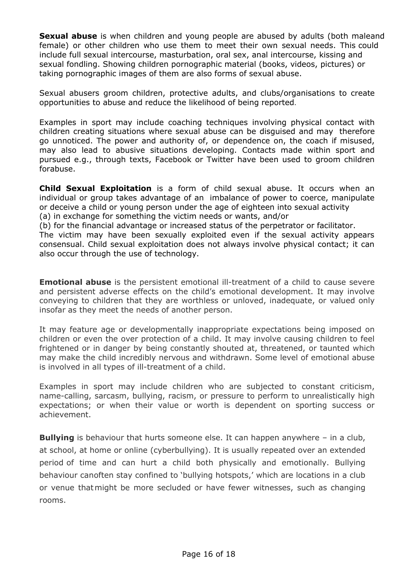**Sexual abuse** is when children and young people are abused by adults (both maleand female) or other children who use them to meet their own sexual needs. This could include full sexual intercourse, masturbation, oral sex, anal intercourse, kissing and sexual fondling. Showing children pornographic material (books, videos, pictures) or taking pornographic images of them are also forms of sexual abuse.

Sexual abusers groom children, protective adults, and clubs/organisations to create opportunities to abuse and reduce the likelihood of being reported.

Examples in sport may include coaching techniques involving physical contact with children creating situations where sexual abuse can be disguised and may therefore go unnoticed. The power and authority of, or dependence on, the coach if misused, may also lead to abusive situations developing. Contacts made within sport and pursued e.g., through texts, Facebook or Twitter have been used to groom children forabuse.

**Child Sexual Exploitation** is a form of child sexual abuse. It occurs when an individual or group takes advantage of an imbalance of power to coerce, manipulate or deceive a child or young person under the age of eighteen into sexual activity (a) in exchange for something the victim needs or wants, and/or

(b) for the financial advantage or increased status of the perpetrator or facilitator.

The victim may have been sexually exploited even if the sexual activity appears consensual. Child sexual exploitation does not always involve physical contact; it can also occur through the use of technology.

**Emotional abuse** is the persistent emotional ill-treatment of a child to cause severe and persistent adverse effects on the child's emotional development. It may involve conveying to children that they are worthless or unloved, inadequate, or valued only insofar as they meet the needs of another person.

It may feature age or developmentally inappropriate expectations being imposed on children or even the over protection of a child. It may involve causing children to feel frightened or in danger by being constantly shouted at, threatened, or taunted which may make the child incredibly nervous and withdrawn. Some level of emotional abuse is involved in all types of ill-treatment of a child.

Examples in sport may include children who are subjected to constant criticism, name-calling, sarcasm, bullying, racism, or pressure to perform to unrealistically high expectations; or when their value or worth is dependent on sporting success or achievement.

**Bullying** is behaviour that hurts someone else. It can happen anywhere – in a club, at school, at home or online (cyberbullying). It is usually repeated over an extended period of time and can hurt a child both physically and emotionally. Bullying behaviour canoften stay confined to 'bullying hotspots,' which are locations in a club or venue thatmight be more secluded or have fewer witnesses, such as changing rooms.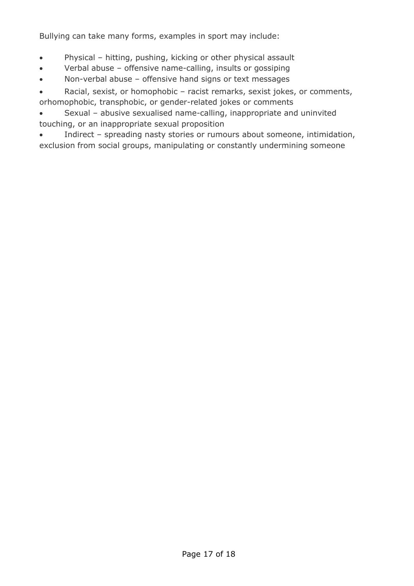Bullying can take many forms, examples in sport may include:

- Physical hitting, pushing, kicking or other physical assault
- Verbal abuse offensive name-calling, insults or gossiping
- Non-verbal abuse offensive hand signs or text messages

• Racial, sexist, or homophobic – racist remarks, sexist jokes, or comments, orhomophobic, transphobic, or gender-related jokes or comments

• Sexual – abusive sexualised name-calling, inappropriate and uninvited touching, or an inappropriate sexual proposition

• Indirect – spreading nasty stories or rumours about someone, intimidation, exclusion from social groups, manipulating or constantly undermining someone